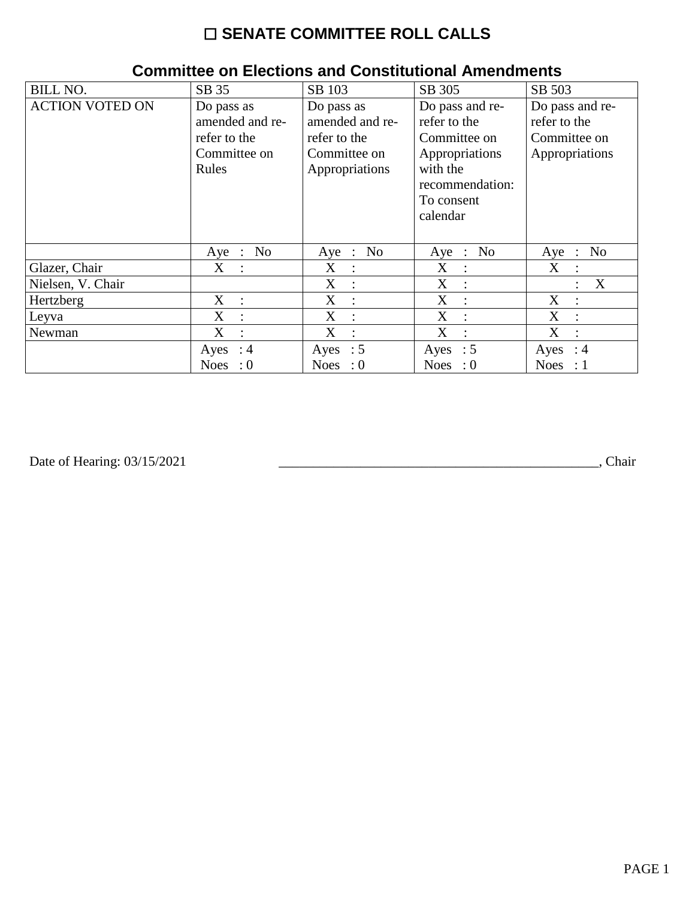## ☐ **SENATE COMMITTEE ROLL CALLS**

| <b>BILL NO.</b>        | SB 35                          | SB 103                                    | SB 305           | SB 503                                        |
|------------------------|--------------------------------|-------------------------------------------|------------------|-----------------------------------------------|
| <b>ACTION VOTED ON</b> | Do pass as                     | Do pass as                                | Do pass and re-  | Do pass and re-                               |
|                        | amended and re-                | amended and re-                           | refer to the     | refer to the                                  |
|                        | refer to the                   | refer to the                              | Committee on     | Committee on                                  |
|                        | Committee on                   | Committee on                              | Appropriations   | Appropriations                                |
|                        | Rules                          | Appropriations                            | with the         |                                               |
|                        |                                |                                           | recommendation:  |                                               |
|                        |                                |                                           | To consent       |                                               |
|                        |                                |                                           | calendar         |                                               |
|                        |                                |                                           |                  |                                               |
|                        | No<br>$Aye$ :                  | Aye : No                                  | Aye : No         | N <sub>0</sub><br>Aye<br>$\ddot{\phantom{a}}$ |
| Glazer, Chair          | $X_{\mathcal{C}}$<br>$\cdot$ : | $X_{\mathcal{C}}$<br>$\ddot{\phantom{0}}$ | X<br>$\sim 10^7$ | X<br>÷                                        |
| Nielsen, V. Chair      |                                | X<br>$\ddot{\phantom{a}}$                 | X<br>$\cdot$ :   | X<br>$\bullet$                                |
| Hertzberg              | $X_{\mathcal{E}}$<br>$\cdot$ : | X<br>$\ddot{\cdot}$                       | X<br>$\cdot$     | X<br>$\ddot{\phantom{a}}$                     |
| Leyva                  | X<br>$\ddot{\cdot}$            | X<br>$\ddot{\cdot}$                       | X                | X<br>$\bullet$                                |
| Newman                 | X<br>$\ddot{\cdot}$            | X<br>$\ddot{\cdot}$                       | X                | X                                             |
|                        | $\therefore$ 4<br>Ayes         | Ayes : $5$                                | Ayes : $5$       | : 4<br>Ayes                                   |
|                        | <b>Noes</b><br>$\colon 0$      | Noes : $0$                                | Noes : $0$       | <b>Noes</b><br>$\div 1$                       |

## **Committee on Elections and Constitutional Amendments**

Date of Hearing: 03/15/2021

Date of Hearing: 03/15/2021 \_\_\_\_\_\_\_\_\_\_\_\_\_\_\_\_\_\_\_\_\_\_\_\_\_\_\_\_\_\_\_\_\_\_\_\_\_\_\_\_\_\_\_\_\_\_\_, Chair